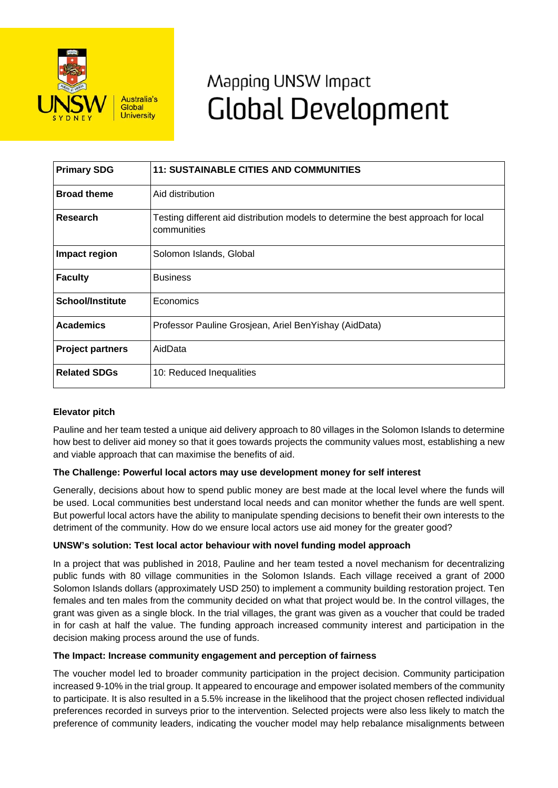

# Mapping UNSW Impact **Global Development**

| <b>Primary SDG</b>      | <b>11: SUSTAINABLE CITIES AND COMMUNITIES</b>                                                     |
|-------------------------|---------------------------------------------------------------------------------------------------|
| <b>Broad theme</b>      | Aid distribution                                                                                  |
| Research                | Testing different aid distribution models to determine the best approach for local<br>communities |
| Impact region           | Solomon Islands, Global                                                                           |
| <b>Faculty</b>          | <b>Business</b>                                                                                   |
| <b>School/Institute</b> | Economics                                                                                         |
| <b>Academics</b>        | Professor Pauline Grosjean, Ariel BenYishay (AidData)                                             |
| <b>Project partners</b> | AidData                                                                                           |
| <b>Related SDGs</b>     | 10: Reduced Inequalities                                                                          |

## **Elevator pitch**

Pauline and her team tested a unique aid delivery approach to 80 villages in the Solomon Islands to determine how best to deliver aid money so that it goes towards projects the community values most, establishing a new and viable approach that can maximise the benefits of aid.

## **The Challenge: Powerful local actors may use development money for self interest**

Generally, decisions about how to spend public money are best made at the local level where the funds will be used. Local communities best understand local needs and can monitor whether the funds are well spent. But powerful local actors have the ability to manipulate spending decisions to benefit their own interests to the detriment of the community. How do we ensure local actors use aid money for the greater good?

#### **UNSW's solution: Test local actor behaviour with novel funding model approach**

In a project that was published in 2018, Pauline and her team tested a novel mechanism for decentralizing public funds with 80 village communities in the Solomon Islands. Each village received a grant of 2000 Solomon Islands dollars (approximately USD 250) to implement a community building restoration project. Ten females and ten males from the community decided on what that project would be. In the control villages, the grant was given as a single block. In the trial villages, the grant was given as a voucher that could be traded in for cash at half the value. The funding approach increased community interest and participation in the decision making process around the use of funds.

#### **The Impact: Increase community engagement and perception of fairness**

The voucher model led to broader community participation in the project decision. Community participation increased 9-10% in the trial group. It appeared to encourage and empower isolated members of the community to participate. It is also resulted in a 5.5% increase in the likelihood that the project chosen reflected individual preferences recorded in surveys prior to the intervention. Selected projects were also less likely to match the preference of community leaders, indicating the voucher model may help rebalance misalignments between